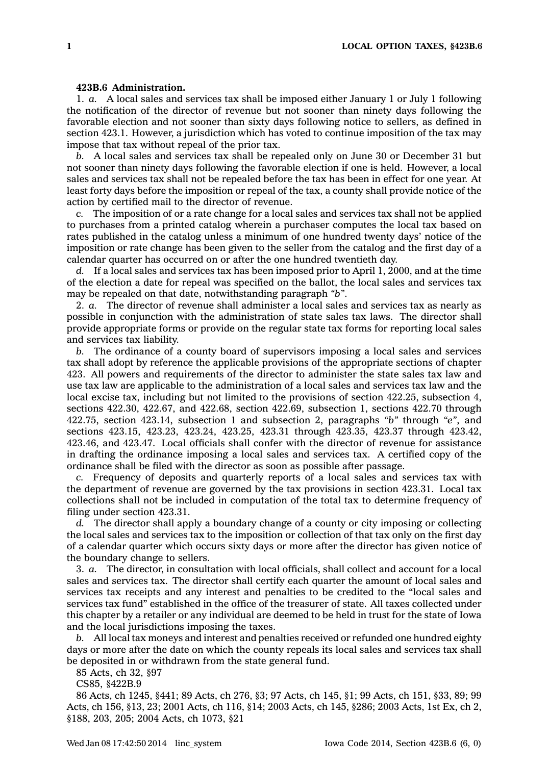## **423B.6 Administration.**

1. *a.* A local sales and services tax shall be imposed either January 1 or July 1 following the notification of the director of revenue but not sooner than ninety days following the favorable election and not sooner than sixty days following notice to sellers, as defined in section 423.1. However, <sup>a</sup> jurisdiction which has voted to continue imposition of the tax may impose that tax without repeal of the prior tax.

*b.* A local sales and services tax shall be repealed only on June 30 or December 31 but not sooner than ninety days following the favorable election if one is held. However, <sup>a</sup> local sales and services tax shall not be repealed before the tax has been in effect for one year. At least forty days before the imposition or repeal of the tax, <sup>a</sup> county shall provide notice of the action by certified mail to the director of revenue.

*c.* The imposition of or <sup>a</sup> rate change for <sup>a</sup> local sales and services tax shall not be applied to purchases from <sup>a</sup> printed catalog wherein <sup>a</sup> purchaser computes the local tax based on rates published in the catalog unless <sup>a</sup> minimum of one hundred twenty days' notice of the imposition or rate change has been given to the seller from the catalog and the first day of <sup>a</sup> calendar quarter has occurred on or after the one hundred twentieth day.

*d.* If <sup>a</sup> local sales and services tax has been imposed prior to April 1, 2000, and at the time of the election <sup>a</sup> date for repeal was specified on the ballot, the local sales and services tax may be repealed on that date, notwithstanding paragraph *"b"*.

2. *a.* The director of revenue shall administer <sup>a</sup> local sales and services tax as nearly as possible in conjunction with the administration of state sales tax laws. The director shall provide appropriate forms or provide on the regular state tax forms for reporting local sales and services tax liability.

*b.* The ordinance of <sup>a</sup> county board of supervisors imposing <sup>a</sup> local sales and services tax shall adopt by reference the applicable provisions of the appropriate sections of chapter 423. All powers and requirements of the director to administer the state sales tax law and use tax law are applicable to the administration of <sup>a</sup> local sales and services tax law and the local excise tax, including but not limited to the provisions of section 422.25, subsection 4, sections 422.30, 422.67, and 422.68, section 422.69, subsection 1, sections 422.70 through 422.75, section 423.14, subsection 1 and subsection 2, paragraphs *"b"* through *"e"*, and sections 423.15, 423.23, 423.24, 423.25, 423.31 through 423.35, 423.37 through 423.42, 423.46, and 423.47. Local officials shall confer with the director of revenue for assistance in drafting the ordinance imposing <sup>a</sup> local sales and services tax. A certified copy of the ordinance shall be filed with the director as soon as possible after passage.

*c.* Frequency of deposits and quarterly reports of <sup>a</sup> local sales and services tax with the department of revenue are governed by the tax provisions in section 423.31. Local tax collections shall not be included in computation of the total tax to determine frequency of filing under section 423.31.

*d.* The director shall apply <sup>a</sup> boundary change of <sup>a</sup> county or city imposing or collecting the local sales and services tax to the imposition or collection of that tax only on the first day of <sup>a</sup> calendar quarter which occurs sixty days or more after the director has given notice of the boundary change to sellers.

3. *a.* The director, in consultation with local officials, shall collect and account for <sup>a</sup> local sales and services tax. The director shall certify each quarter the amount of local sales and services tax receipts and any interest and penalties to be credited to the "local sales and services tax fund" established in the office of the treasurer of state. All taxes collected under this chapter by <sup>a</sup> retailer or any individual are deemed to be held in trust for the state of Iowa and the local jurisdictions imposing the taxes.

*b.* All local tax moneys and interest and penalties received or refunded one hundred eighty days or more after the date on which the county repeals its local sales and services tax shall be deposited in or withdrawn from the state general fund.

85 Acts, ch 32, §97

CS85, §422B.9

86 Acts, ch 1245, §441; 89 Acts, ch 276, §3; 97 Acts, ch 145, §1; 99 Acts, ch 151, §33, 89; 99 Acts, ch 156, §13, 23; 2001 Acts, ch 116, §14; 2003 Acts, ch 145, §286; 2003 Acts, 1st Ex, ch 2, §188, 203, 205; 2004 Acts, ch 1073, §21